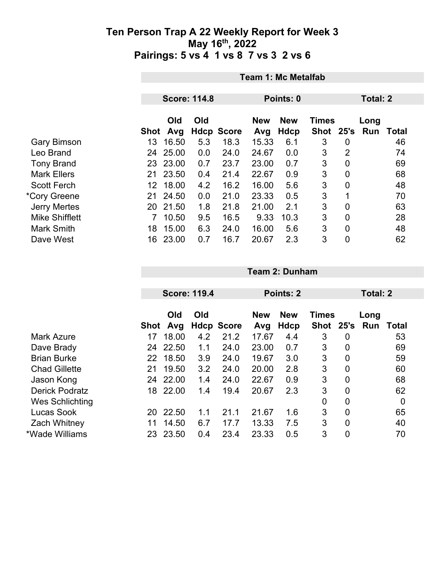|                       | <b>Team 1: Mc Metalfab</b> |                     |     |                   |                   |                           |                    |                 |                    |       |  |
|-----------------------|----------------------------|---------------------|-----|-------------------|-------------------|---------------------------|--------------------|-----------------|--------------------|-------|--|
|                       |                            |                     |     |                   |                   |                           |                    |                 |                    |       |  |
|                       |                            | <b>Score: 114.8</b> |     |                   |                   | Points: 0                 |                    | <b>Total: 2</b> |                    |       |  |
|                       | <b>Shot</b>                | Old<br>Avg          | Old | <b>Hdcp Score</b> | <b>New</b><br>Avg | <b>New</b><br><b>Hdcp</b> | Times<br>Shot 25's |                 | Long<br><b>Run</b> | Total |  |
| <b>Gary Bimson</b>    | 13                         | 16.50               | 5.3 | 18.3              | 15.33             | 6.1                       | 3                  | 0               |                    | 46    |  |
| Leo Brand             | 24                         | 25.00               | 0.0 | 24.0              | 24.67             | 0.0                       | 3                  | $\overline{2}$  |                    | 74    |  |
| <b>Tony Brand</b>     |                            | 23 23.00            | 0.7 | 23.7              | 23.00             | 0.7                       | 3                  | 0               |                    | 69    |  |
| <b>Mark Ellers</b>    | 21                         | 23.50               | 0.4 | 21.4              | 22.67             | 0.9                       | 3                  | 0               |                    | 68    |  |
| <b>Scott Ferch</b>    | 12                         | 18.00               | 4.2 | 16.2              | 16.00             | 5.6                       | 3                  | $\overline{0}$  |                    | 48    |  |
| *Cory Greene          | 21                         | 24.50               | 0.0 | 21.0              | 23.33             | 0.5                       | 3                  | 1               |                    | 70    |  |
| <b>Jerry Mertes</b>   | 20                         | 21.50               | 1.8 | 21.8              | 21.00             | 2.1                       | 3                  | $\overline{0}$  |                    | 63    |  |
| <b>Mike Shifflett</b> | 7                          | 10.50               | 9.5 | 16.5              | 9.33              | 10.3                      | 3                  | $\mathbf 0$     |                    | 28    |  |
| <b>Mark Smith</b>     | 18                         | 15.00               | 6.3 | 24.0              | 16.00             | 5.6                       | 3                  | 0               |                    | 48    |  |
| Dave West             | 16                         | 23.00               | 0.7 | 16.7              | 20.67             | 2.3                       | 3                  | $\overline{0}$  |                    | 62    |  |

|                       |      |          | <b>Score: 119.4</b> |                   |            | Points: 2  |               |                | <b>Total: 2</b> |              |  |
|-----------------------|------|----------|---------------------|-------------------|------------|------------|---------------|----------------|-----------------|--------------|--|
|                       |      |          |                     |                   |            |            |               |                |                 |              |  |
|                       |      | Old      | Old                 |                   | <b>New</b> | <b>New</b> | <b>Times</b>  |                | Long            |              |  |
|                       | Shot | Avg      |                     | <b>Hdcp Score</b> | Avg        | Hdcp       | Shot 25's Run |                |                 | <b>Total</b> |  |
| <b>Mark Azure</b>     | 17   | 18.00    | 4.2                 | 21.2              | 17.67      | 4.4        | 3             | 0              |                 | 53           |  |
| Dave Brady            | 24   | 22.50    | 1.1                 | 24.0              | 23.00      | 0.7        | 3             | 0              |                 | 69           |  |
| <b>Brian Burke</b>    | 22   | 18.50    | 3.9                 | 24.0              | 19.67      | 3.0        | 3             | $\overline{0}$ |                 | 59           |  |
| <b>Chad Gillette</b>  | 21   | 19.50    | 3.2                 | 24.0              | 20.00      | 2.8        | 3             | 0              |                 | 60           |  |
| Jason Kong            | 24   | 22.00    | 1.4                 | 24.0              | 22.67      | 0.9        | 3             | $\overline{0}$ |                 | 68           |  |
| <b>Derick Podratz</b> |      | 18 22.00 | 1.4                 | 19.4              | 20.67      | 2.3        | 3             | 0              |                 | 62           |  |
| Wes Schlichting       |      |          |                     |                   |            |            | 0             | 0              |                 | 0            |  |
| Lucas Sook            | 20   | 22.50    | 1.1                 | 21.1              | 21.67      | 1.6        | 3             | $\mathbf 0$    |                 | 65           |  |
| <b>Zach Whitney</b>   | 11   | 14.50    | 6.7                 | 17.7              | 13.33      | 7.5        | 3             | $\mathbf 0$    |                 | 40           |  |
| *Wade Williams        | 23   | 23.50    | 0.4                 | 23.4              | 23.33      | 0.5        | 3             | $\mathbf 0$    |                 | 70           |  |

**Team 2: Dunham**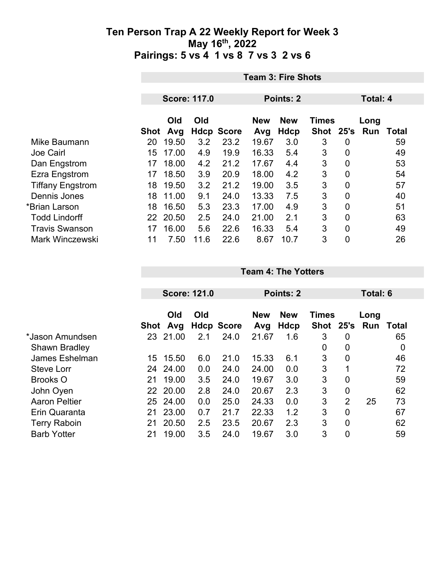|                         |      | <b>Team 3: Fire Shots</b> |      |                   |            |             |              |   |                 |       |  |  |
|-------------------------|------|---------------------------|------|-------------------|------------|-------------|--------------|---|-----------------|-------|--|--|
|                         |      | <b>Score: 117.0</b>       |      |                   |            | Points: 2   |              |   | <b>Total: 4</b> |       |  |  |
|                         |      |                           |      |                   |            |             |              |   |                 |       |  |  |
|                         |      | Old                       | Old  |                   | <b>New</b> | <b>New</b>  | <b>Times</b> |   | Long            |       |  |  |
|                         | Shot | Avg                       |      | <b>Hdcp Score</b> | Avg        | <b>Hdcp</b> | Shot 25's    |   | Run             | Total |  |  |
| Mike Baumann            | 20   | 19.50                     | 3.2  | 23.2              | 19.67      | 3.0         | 3            | 0 |                 | 59    |  |  |
| <b>Joe Cairl</b>        | 15   | 17.00                     | 4.9  | 19.9              | 16.33      | 5.4         | 3            | 0 |                 | 49    |  |  |
| Dan Engstrom            | 17   | 18.00                     | 4.2  | 21.2              | 17.67      | 4.4         | 3            | 0 |                 | 53    |  |  |
| Ezra Engstrom           | 17   | 18.50                     | 3.9  | 20.9              | 18.00      | 4.2         | 3            | 0 |                 | 54    |  |  |
| <b>Tiffany Engstrom</b> | 18   | 19.50                     | 3.2  | 21.2              | 19.00      | 3.5         | 3            | 0 |                 | 57    |  |  |
| Dennis Jones            | 18   | 11.00                     | 9.1  | 24.0              | 13.33      | 7.5         | 3            | 0 |                 | 40    |  |  |
| *Brian Larson           | 18   | 16.50                     | 5.3  | 23.3              | 17.00      | 4.9         | 3            | 0 |                 | 51    |  |  |
| <b>Todd Lindorff</b>    | 22   | 20.50                     | 2.5  | 24.0              | 21.00      | 2.1         | 3            | 0 |                 | 63    |  |  |
| <b>Travis Swanson</b>   | 17   | 16.00                     | 5.6  | 22.6              | 16.33      | 5.4         | 3            | 0 |                 | 49    |  |  |
| <b>Mark Winczewski</b>  | 11   | 7.50                      | 11.6 | 22.6              | 8.67       | 10.7        | 3            | 0 |                 | 26    |  |  |

|                      |      |          | <b>Score: 121.0</b> |                   |            | Points: 2  |              |                | Total: 6 |       |
|----------------------|------|----------|---------------------|-------------------|------------|------------|--------------|----------------|----------|-------|
|                      |      |          |                     |                   |            |            |              |                |          |       |
|                      |      | Old      | Old                 |                   | <b>New</b> | <b>New</b> | <b>Times</b> |                | Long     |       |
|                      | Shot | Avg      |                     | <b>Hdcp Score</b> | Avg        | Hdcp       | <b>Shot</b>  | 25's           | Run      | Total |
| *Jason Amundsen      | 23   | 21.00    | 2.1                 | 24.0              | 21.67      | 1.6        | 3            | $\mathbf 0$    |          | 65    |
| <b>Shawn Bradley</b> |      |          |                     |                   |            |            | 0            | $\overline{0}$ |          | 0     |
| James Eshelman       | 15   | 15.50    | 6.0                 | 21.0              | 15.33      | 6.1        | 3            | $\overline{0}$ |          | 46    |
| <b>Steve Lorr</b>    | 24   | 24.00    | 0.0                 | 24.0              | 24.00      | 0.0        | 3            | 1              |          | 72    |
| <b>Brooks O</b>      | 21   | 19.00    | 3.5                 | 24.0              | 19.67      | 3.0        | 3            | $\overline{0}$ |          | 59    |
| John Oyen            |      | 22 20.00 | 2.8                 | 24.0              | 20.67      | 2.3        | 3            | $\mathbf 0$    |          | 62    |
| <b>Aaron Peltier</b> | 25   | 24.00    | 0.0                 | 25.0              | 24.33      | 0.0        | 3            | $\overline{2}$ | 25       | 73    |
| Erin Quaranta        | 21   | 23.00    | 0.7                 | 21.7              | 22.33      | 1.2        | 3            | $\overline{0}$ |          | 67    |
| <b>Terry Raboin</b>  | 21   | 20.50    | 2.5                 | 23.5              | 20.67      | 2.3        | 3            | $\overline{0}$ |          | 62    |
| <b>Barb Yotter</b>   | 21   | 19.00    | 3.5                 | 24.0              | 19.67      | 3.0        | 3            | $\overline{0}$ |          | 59    |

**Team 4: The Yotters**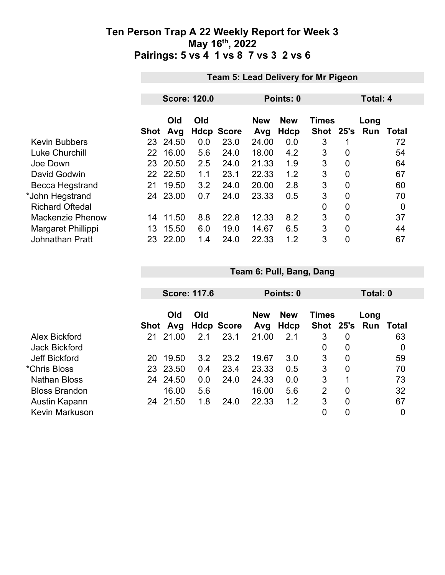|                         |             | <b>Team 5: Lead Delivery for Mr Pigeon</b> |     |                   |                   |                           |                             |                |                    |       |  |
|-------------------------|-------------|--------------------------------------------|-----|-------------------|-------------------|---------------------------|-----------------------------|----------------|--------------------|-------|--|
|                         |             |                                            |     |                   |                   |                           |                             |                |                    |       |  |
|                         |             | <b>Score: 120.0</b>                        |     |                   | Points: 0         |                           |                             | Total: 4       |                    |       |  |
|                         | <b>Shot</b> | Old<br>Avg                                 | Old | <b>Hdcp Score</b> | <b>New</b><br>Avg | <b>New</b><br><b>Hdcp</b> | <b>Times</b><br><b>Shot</b> | 25's           | Long<br><b>Run</b> | Total |  |
| <b>Kevin Bubbers</b>    |             | 23 24.50                                   | 0.0 | 23.0              | 24.00             | 0.0                       | 3                           |                |                    | 72    |  |
| <b>Luke Churchill</b>   | 22          | 16.00                                      | 5.6 | 24.0              | 18.00             | 4.2                       | 3                           | 0              |                    | 54    |  |
| Joe Down                | 23.         | 20.50                                      | 2.5 | 24.0              | 21.33             | 1.9                       | 3                           | $\overline{0}$ |                    | 64    |  |
| David Godwin            |             | 22 22.50                                   | 1.1 | 23.1              | 22.33             | 1.2                       | 3                           | 0              |                    | 67    |  |
| Becca Hegstrand         | 21          | 19.50                                      | 3.2 | 24.0              | 20.00             | 2.8                       | 3                           | $\overline{0}$ |                    | 60    |  |
| *John Hegstrand         | 24          | 23.00                                      | 0.7 | 24.0              | 23.33             | 0.5                       | 3                           | 0              |                    | 70    |  |
| <b>Richard Oftedal</b>  |             |                                            |     |                   |                   |                           | 0                           | $\overline{0}$ |                    | 0     |  |
| <b>Mackenzie Phenow</b> | 14          | 11.50                                      | 8.8 | 22.8              | 12.33             | 8.2                       | 3                           | $\overline{0}$ |                    | 37    |  |
| Margaret Phillippi      | 13          | 15.50                                      | 6.0 | 19.0              | 14.67             | 6.5                       | 3                           | $\overline{0}$ |                    | 44    |  |
| <b>Johnathan Pratt</b>  | 23.         | 22.00                                      | 1.4 | 24.0              | 22.33             | 1.2                       | 3                           | $\overline{0}$ |                    | 67    |  |
|                         |             |                                            |     |                   |                   |                           |                             |                |                    |       |  |

|                       |      | <b>Score: 117.6</b> |     |                |                   | Points: 0          |                           |                |             | Total: 0 |  |  |
|-----------------------|------|---------------------|-----|----------------|-------------------|--------------------|---------------------------|----------------|-------------|----------|--|--|
|                       | Shot | Old                 | Old | Avg Hdcp Score | <b>New</b><br>Avg | <b>New</b><br>Hdcp | <b>Times</b><br>Shot 25's |                | Long<br>Run | Total    |  |  |
| Alex Bickford         | 21   | 21.00               | 2.1 | 23.1           | 21.00             | 2.1                | 3                         | 0              |             | 63       |  |  |
| <b>Jack Bickford</b>  |      |                     |     |                |                   |                    | 0                         | 0              |             | 0        |  |  |
| <b>Jeff Bickford</b>  | 20   | 19.50               | 3.2 | 23.2           | 19.67             | 3.0                | 3                         | 0              |             | 59       |  |  |
| *Chris Bloss          | 23   | 23.50               | 0.4 | 23.4           | 23.33             | 0.5                | 3                         | 0              |             | 70       |  |  |
| <b>Nathan Bloss</b>   | 24   | 24.50               | 0.0 | 24.0           | 24.33             | 0.0                | 3                         |                |             | 73       |  |  |
| <b>Bloss Brandon</b>  |      | 16.00               | 5.6 |                | 16.00             | 5.6                | 2                         | 0              |             | 32       |  |  |
| Austin Kapann         | 24   | 21.50               | 1.8 | 24.0           | 22.33             | 1.2                | 3                         | $\overline{0}$ |             | 67       |  |  |
| <b>Kevin Markuson</b> |      |                     |     |                |                   |                    | 0                         | 0              |             | 0        |  |  |

**Team 6: Pull, Bang, Dang**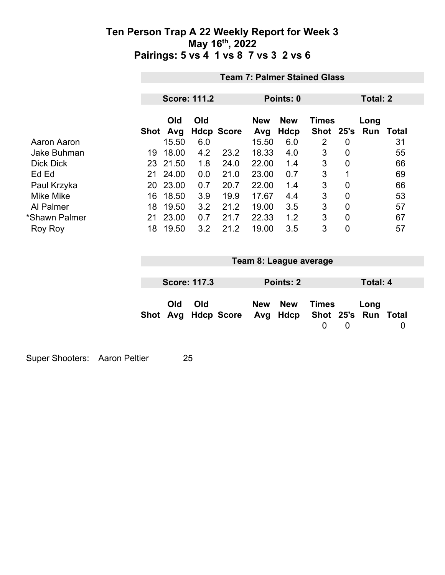|                    | <b>Team 7: Palmer Stained Glass</b> |                     |     |                   |            |            |              |                |      |       |
|--------------------|-------------------------------------|---------------------|-----|-------------------|------------|------------|--------------|----------------|------|-------|
|                    |                                     |                     |     |                   |            |            |              |                |      |       |
|                    |                                     | <b>Score: 111.2</b> |     |                   | Points: 0  |            |              | Total: 2       |      |       |
|                    |                                     | Old                 | Old |                   | <b>New</b> | <b>New</b> | <b>Times</b> |                | Long |       |
|                    | Shot                                | Avg                 |     | <b>Hdcp Score</b> | Avg        | Hdcp       | <b>Shot</b>  | 25's           | Run  | Total |
| Aaron Aaron        |                                     | 15.50               | 6.0 |                   | 15.50      | 6.0        | 2            | 0              |      | 31    |
| <b>Jake Buhman</b> | 19                                  | 18.00               | 4.2 | 23.2              | 18.33      | 4.0        | 3            | 0              |      | 55    |
| <b>Dick Dick</b>   |                                     | 23 21.50            | 1.8 | 24.0              | 22.00      | 1.4        | 3            | $\mathbf 0$    |      | 66    |
| Ed Ed              | 21                                  | 24.00               | 0.0 | 21.0              | 23.00      | 0.7        | 3            | 1              |      | 69    |
| Paul Krzyka        | 20                                  | 23.00               | 0.7 | 20.7              | 22.00      | 1.4        | 3            | 0              |      | 66    |
| <b>Mike Mike</b>   | 16                                  | 18.50               | 3.9 | 19.9              | 17.67      | 4.4        | 3            | $\overline{0}$ |      | 53    |
| Al Palmer          | 18                                  | 19.50               | 3.2 | 21.2              | 19.00      | 3.5        | 3            | 0              |      | 57    |
| *Shawn Palmer      | 21                                  | 23.00               | 0.7 | 21.7              | 22.33      | 1.2        | 3            | $\overline{0}$ |      | 67    |
| <b>Roy Roy</b>     | 18                                  | 19.50               | 3.2 | 21.2              | 19.00      | 3.5        | 3            | 0              |      | 57    |

|     |                     |                                                  | Team 8: League average |          |   |          |  |
|-----|---------------------|--------------------------------------------------|------------------------|----------|---|----------|--|
|     |                     |                                                  |                        |          |   |          |  |
|     | <b>Score: 117.3</b> |                                                  | Points: 2              |          |   | Total: 4 |  |
|     |                     |                                                  |                        |          |   |          |  |
| Old | Old                 |                                                  | New New                | Times    |   | Long     |  |
|     |                     | Shot Avg Hdcp Score Avg Hdcp Shot 25's Run Total |                        |          |   |          |  |
|     |                     |                                                  |                        | $\Omega$ | 0 |          |  |
|     |                     |                                                  |                        |          |   |          |  |
|     |                     |                                                  |                        |          |   |          |  |

Super Shooters: Aaron Peltier 25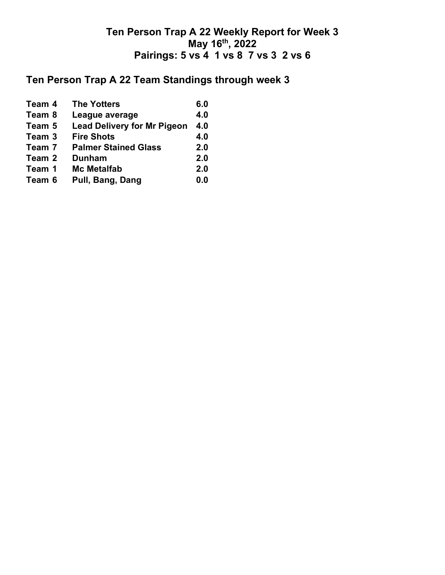# **Ten Person Trap A 22 Team Standings through week 3**

| Team 4 | <b>The Yotters</b>                 | 6.0 |
|--------|------------------------------------|-----|
| Team 8 | League average                     | 4.0 |
| Team 5 | <b>Lead Delivery for Mr Pigeon</b> | 4.0 |
| Team 3 | <b>Fire Shots</b>                  | 4.0 |
| Team 7 | <b>Palmer Stained Glass</b>        | 2.0 |
| Team 2 | <b>Dunham</b>                      | 2.0 |
| Team 1 | <b>Mc Metalfab</b>                 | 2.0 |
| Team 6 | Pull, Bang, Dang                   | 0.0 |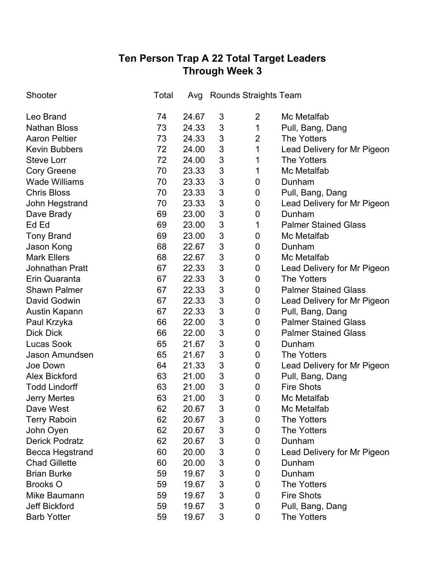# **Ten Person Trap A 22 Total Target Leaders Through Week 3**

| Shooter                | Total |       |   | Avg Rounds Straights Team |                             |
|------------------------|-------|-------|---|---------------------------|-----------------------------|
| Leo Brand              | 74    | 24.67 | 3 | $\overline{2}$            | Mc Metalfab                 |
| <b>Nathan Bloss</b>    | 73    | 24.33 | 3 | 1                         | Pull, Bang, Dang            |
| <b>Aaron Peltier</b>   | 73    | 24.33 | 3 | $\overline{2}$            | <b>The Yotters</b>          |
| <b>Kevin Bubbers</b>   | 72    | 24.00 | 3 | 1                         | Lead Delivery for Mr Pigeon |
| <b>Steve Lorr</b>      | 72    | 24.00 | 3 | 1                         | <b>The Yotters</b>          |
| <b>Cory Greene</b>     | 70    | 23.33 | 3 | 1                         | Mc Metalfab                 |
| <b>Wade Williams</b>   | 70    | 23.33 | 3 | 0                         | Dunham                      |
| <b>Chris Bloss</b>     | 70    | 23.33 | 3 | 0                         | Pull, Bang, Dang            |
| John Hegstrand         | 70    | 23.33 | 3 | 0                         | Lead Delivery for Mr Pigeon |
| Dave Brady             | 69    | 23.00 | 3 | 0                         | Dunham                      |
| Ed Ed                  | 69    | 23.00 | 3 | 1                         | <b>Palmer Stained Glass</b> |
| <b>Tony Brand</b>      | 69    | 23.00 | 3 | 0                         | Mc Metalfab                 |
| Jason Kong             | 68    | 22.67 | 3 | 0                         | Dunham                      |
| <b>Mark Ellers</b>     | 68    | 22.67 | 3 | 0                         | Mc Metalfab                 |
| <b>Johnathan Pratt</b> | 67    | 22.33 | 3 | 0                         | Lead Delivery for Mr Pigeon |
| Erin Quaranta          | 67    | 22.33 | 3 | 0                         | <b>The Yotters</b>          |
| <b>Shawn Palmer</b>    | 67    | 22.33 | 3 | 0                         | <b>Palmer Stained Glass</b> |
| David Godwin           | 67    | 22.33 | 3 | 0                         | Lead Delivery for Mr Pigeon |
| Austin Kapann          | 67    | 22.33 | 3 | 0                         | Pull, Bang, Dang            |
| Paul Krzyka            | 66    | 22.00 | 3 | 0                         | <b>Palmer Stained Glass</b> |
| <b>Dick Dick</b>       | 66    | 22.00 | 3 | 0                         | <b>Palmer Stained Glass</b> |
| <b>Lucas Sook</b>      | 65    | 21.67 | 3 | 0                         | Dunham                      |
| Jason Amundsen         | 65    | 21.67 | 3 | 0                         | <b>The Yotters</b>          |
| Joe Down               | 64    | 21.33 | 3 | 0                         | Lead Delivery for Mr Pigeon |
| <b>Alex Bickford</b>   | 63    | 21.00 | 3 | 0                         | Pull, Bang, Dang            |
| <b>Todd Lindorff</b>   | 63    | 21.00 | 3 | 0                         | <b>Fire Shots</b>           |
| <b>Jerry Mertes</b>    | 63    | 21.00 | 3 | 0                         | Mc Metalfab                 |
| Dave West              | 62    | 20.67 | 3 | 0                         | Mc Metalfab                 |
| <b>Terry Raboin</b>    | 62    | 20.67 | 3 | 0                         | <b>The Yotters</b>          |
| John Oyen              | 62    | 20.67 | 3 | 0                         | <b>The Yotters</b>          |
| <b>Derick Podratz</b>  | 62    | 20.67 | 3 | 0                         | Dunham                      |
| <b>Becca Hegstrand</b> | 60    | 20.00 | 3 | 0                         | Lead Delivery for Mr Pigeon |
| <b>Chad Gillette</b>   | 60    | 20.00 | 3 | 0                         | Dunham                      |
| <b>Brian Burke</b>     | 59    | 19.67 | 3 | 0                         | Dunham                      |
| <b>Brooks O</b>        | 59    | 19.67 | 3 | 0                         | <b>The Yotters</b>          |
| Mike Baumann           | 59    | 19.67 | 3 | 0                         | <b>Fire Shots</b>           |
| <b>Jeff Bickford</b>   | 59    | 19.67 | 3 | 0                         | Pull, Bang, Dang            |
| <b>Barb Yotter</b>     | 59    | 19.67 | 3 | 0                         | The Yotters                 |